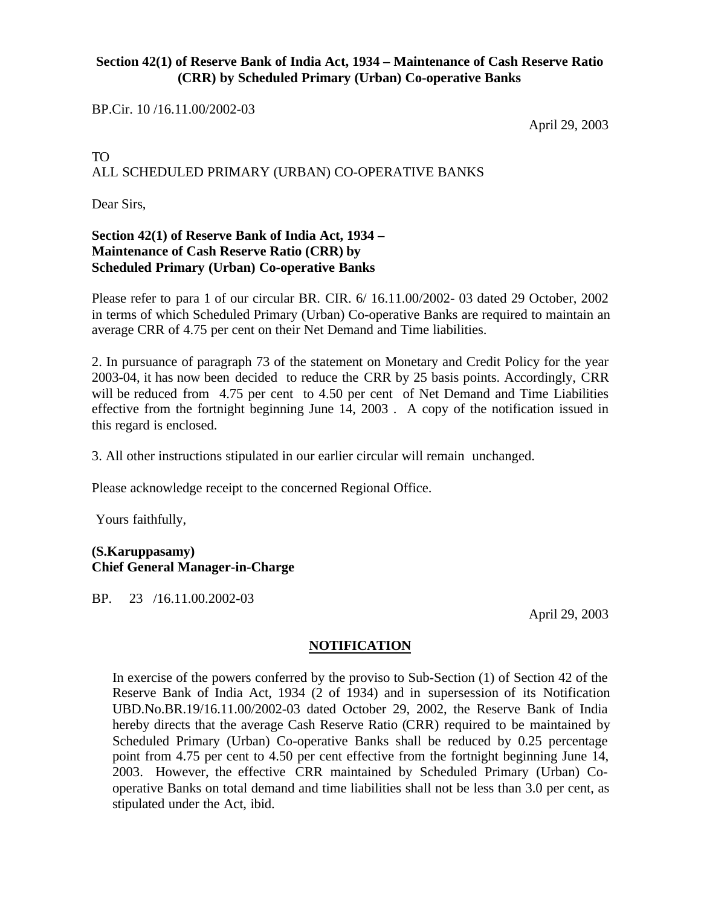### **Section 42(1) of Reserve Bank of India Act, 1934 – Maintenance of Cash Reserve Ratio (CRR) by Scheduled Primary (Urban) Co-operative Banks**

BP.Cir. 10 /16.11.00/2002-03

April 29, 2003

# TO ALL SCHEDULED PRIMARY (URBAN) CO-OPERATIVE BANKS

Dear Sirs,

## **Section 42(1) of Reserve Bank of India Act, 1934 – Maintenance of Cash Reserve Ratio (CRR) by Scheduled Primary (Urban) Co-operative Banks**

Please refer to para 1 of our circular BR. CIR. 6/ 16.11.00/2002- 03 dated 29 October, 2002 in terms of which Scheduled Primary (Urban) Co-operative Banks are required to maintain an average CRR of 4.75 per cent on their Net Demand and Time liabilities.

2. In pursuance of paragraph 73 of the statement on Monetary and Credit Policy for the year 2003-04, it has now been decided to reduce the CRR by 25 basis points. Accordingly, CRR will be reduced from 4.75 per cent to 4.50 per cent of Net Demand and Time Liabilities effective from the fortnight beginning June 14, 2003 . A copy of the notification issued in this regard is enclosed.

3. All other instructions stipulated in our earlier circular will remain unchanged.

Please acknowledge receipt to the concerned Regional Office.

Yours faithfully,

#### **(S.Karuppasamy) Chief General Manager-in-Charge**

BP. 23 /16.11.00.2002-03

April 29, 2003

#### **NOTIFICATION**

In exercise of the powers conferred by the proviso to Sub-Section (1) of Section 42 of the Reserve Bank of India Act, 1934 (2 of 1934) and in supersession of its Notification UBD.No.BR.19/16.11.00/2002-03 dated October 29, 2002, the Reserve Bank of India hereby directs that the average Cash Reserve Ratio (CRR) required to be maintained by Scheduled Primary (Urban) Co-operative Banks shall be reduced by 0.25 percentage point from 4.75 per cent to 4.50 per cent effective from the fortnight beginning June 14, 2003. However, the effective CRR maintained by Scheduled Primary (Urban) Cooperative Banks on total demand and time liabilities shall not be less than 3.0 per cent, as stipulated under the Act, ibid.